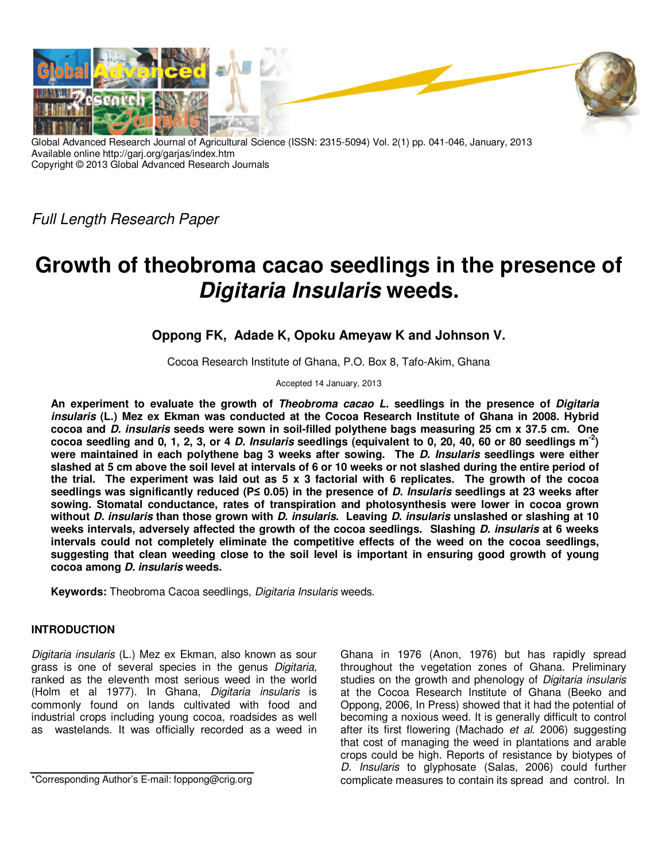

Global Advanced Research Journal of Agricultural Science (ISSN: 2315-5094) Vol. 2(1) pp. 041-046, January, 2013 Available online http://garj.org/garjas/index.htm Copyright © 2013 Global Advanced Research Journals

Full Length Research Paper

# **Growth of theobroma cacao seedlings in the presence of Digitaria Insularis weeds.**

## **Oppong FK, Adade K, Opoku Ameyaw K and Johnson V.**

Cocoa Research Institute of Ghana, P.O. Box 8, Tafo-Akim, Ghana

Accepted 14 January, 2013

**An experiment to evaluate the growth of Theobroma cacao L. seedlings in the presence of Digitaria insularis (L.) Mez ex Ekman was conducted at the Cocoa Research Institute of Ghana in 2008. Hybrid cocoa and D. insularis seeds were sown in soil-filled polythene bags measuring 25 cm x 37.5 cm. One cocoa seedling and 0, 1, 2, 3, or 4 D. Insularis seedlings (equivalent to 0, 20, 40, 60 or 80 seedlings m-2) were maintained in each polythene bag 3 weeks after sowing. The D. Insularis seedlings were either slashed at 5 cm above the soil level at intervals of 6 or 10 weeks or not slashed during the entire period of the trial. The experiment was laid out as 5 x 3 factorial with 6 replicates. The growth of the cocoa seedlings was significantly reduced (P≤ 0.05) in the presence of D. Insularis seedlings at 23 weeks after sowing. Stomatal conductance, rates of transpiration and photosynthesis were lower in cocoa grown without D. insularis than those grown with D. insularis. Leaving D. insularis unslashed or slashing at 10 weeks intervals, adversely affected the growth of the cocoa seedlings. Slashing D. insularis at 6 weeks intervals could not completely eliminate the competitive effects of the weed on the cocoa seedlings, suggesting that clean weeding close to the soil level is important in ensuring good growth of young cocoa among D. insularis weeds.** 

**Keywords:** Theobroma Cacoa seedlings, Digitaria Insularis weeds.

## **INTRODUCTION**

Digitaria insularis (L.) Mez ex Ekman, also known as sour grass is one of several species in the genus Digitaria, ranked as the eleventh most serious weed in the world (Holm et al 1977). In Ghana, Digitaria insularis is commonly found on lands cultivated with food and industrial crops including young cocoa, roadsides as well as wastelands. It was officially recorded as a weed in

\*Corresponding Author's E-mail: foppong@crig.org

Ghana in 1976 (Anon, 1976) but has rapidly spread throughout the vegetation zones of Ghana. Preliminary studies on the growth and phenology of Digitaria insularis at the Cocoa Research Institute of Ghana (Beeko and Oppong, 2006, In Press) showed that it had the potential of becoming a noxious weed. It is generally difficult to control after its first flowering (Machado et al. 2006) suggesting that cost of managing the weed in plantations and arable crops could be high. Reports of resistance by biotypes of D. Insularis to glyphosate (Salas, 2006) could further complicate measures to contain its spread and control. In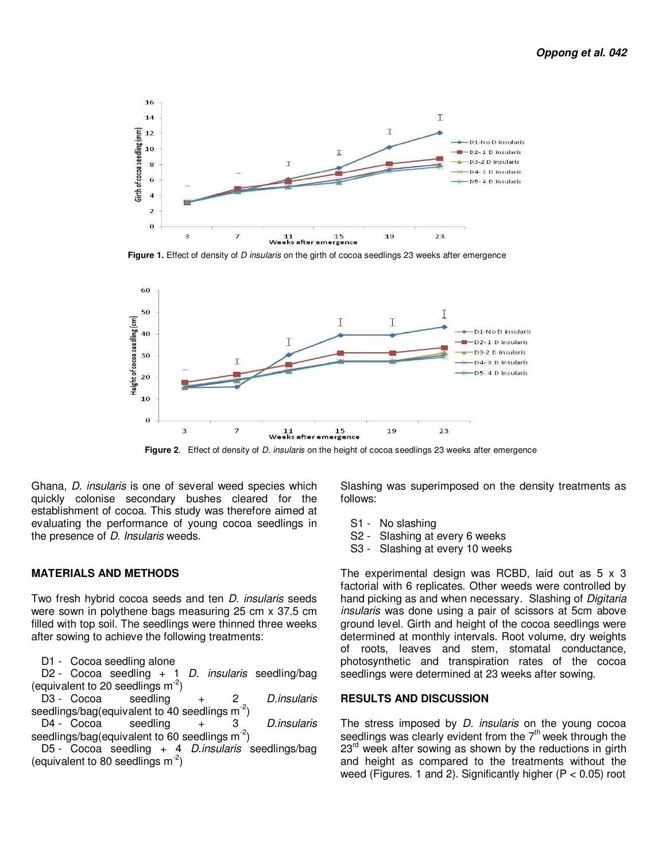

**Figure 1.** Effect of density of *D* insularis on the girth of cocoa seedlings 23 weeks after emergence



 **Figure 2**. Effect of density of D. insularis on the height of cocoa seedlings 23 weeks after emergence

Ghana, D. insularis is one of several weed species which quickly colonise secondary bushes cleared for the establishment of cocoa. This study was therefore aimed at evaluating the performance of young cocoa seedlings in the presence of *D. Insularis* weeds.

#### **MATERIALS AND METHODS**

Two fresh hybrid cocoa seeds and ten *D. insularis* seeds were sown in polythene bags measuring 25 cm x 37.5 cm filled with top soil. The seedlings were thinned three weeks after sowing to achieve the following treatments:

D1 - Cocoa seedling alone

D2 - Cocoa seedling  $+$  1 D. insularis seedling/bag (equivalent to 20 seedlings  $m<sup>-2</sup>$ )

D3 - Cocoa seedling + 2 D.insularis seedlings/bag(equivalent to 40 seedlings  $m<sup>-2</sup>$ )

 $D4 - Cocoa$  seedling  $+$  3 *D.insularis* seedlings/bag(equivalent to 60 seedlings  $m<sup>-2</sup>$ )

D5 - Cocoa seedling + 4 D.insularis seedlings/bag (equivalent to 80 seedlings  $m<sup>-2</sup>$ )

Slashing was superimposed on the density treatments as follows:

- S1 No slashing
- S2 Slashing at every 6 weeks
- S3 Slashing at every 10 weeks

The experimental design was RCBD, laid out as  $5 \times 3$ factorial with 6 replicates. Other weeds were controlled by hand picking as and when necessary. Slashing of Digitaria insularis was done using a pair of scissors at 5cm above ground level. Girth and height of the cocoa seedlings were determined at monthly intervals. Root volume, dry weights of roots, leaves and stem, stomatal conductance, photosynthetic and transpiration rates of the cocoa seedlings were determined at 23 weeks after sowing.

#### **RESULTS AND DISCUSSION**

The stress imposed by *D. insularis* on the young cocoa seedlings was clearly evident from the  $7<sup>th</sup>$  week through the  $23<sup>rd</sup>$  week after sowing as shown by the reductions in girth and height as compared to the treatments without the weed (Figures. 1 and 2). Significantly higher (P < 0.05) root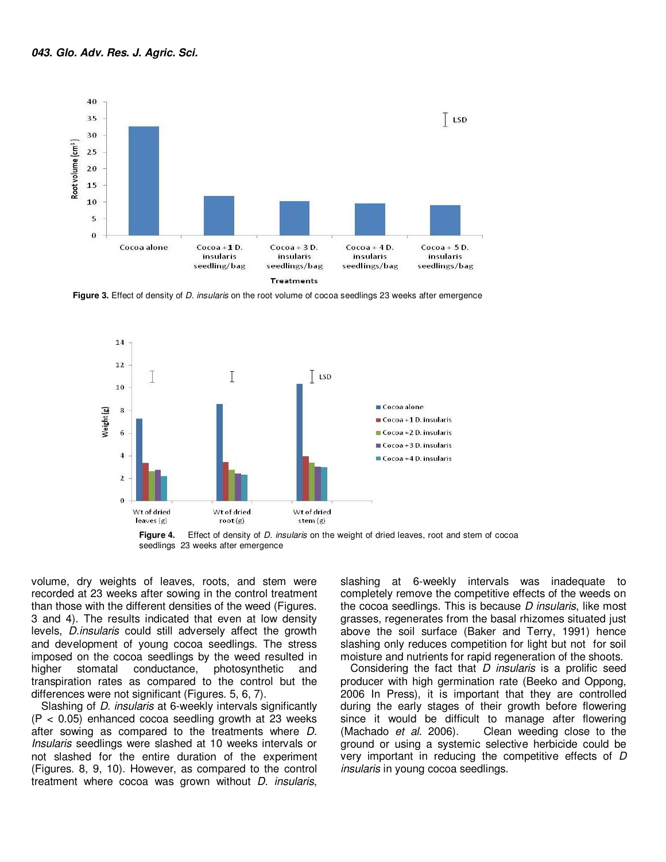

**Figure 3.** Effect of density of *D. insularis* on the root volume of cocoa seedlings 23 weeks after emergence



seedlings 23 weeks after emergence

volume, dry weights of leaves, roots, and stem were recorded at 23 weeks after sowing in the control treatment than those with the different densities of the weed (Figures. 3 and 4). The results indicated that even at low density levels, D.insularis could still adversely affect the growth and development of young cocoa seedlings. The stress imposed on the cocoa seedlings by the weed resulted in higher stomatal conductance, photosynthetic and transpiration rates as compared to the control but the differences were not significant (Figures. 5, 6, 7).

Slashing of D. insularis at 6-weekly intervals significantly  $(P < 0.05)$  enhanced cocoa seedling growth at 23 weeks after sowing as compared to the treatments where D. Insularis seedlings were slashed at 10 weeks intervals or not slashed for the entire duration of the experiment (Figures. 8, 9, 10). However, as compared to the control treatment where cocoa was grown without D. insularis,

slashing at 6-weekly intervals was inadequate to completely remove the competitive effects of the weeds on the cocoa seedlings. This is because D insularis, like most grasses, regenerates from the basal rhizomes situated just above the soil surface (Baker and Terry, 1991) hence slashing only reduces competition for light but not for soil moisture and nutrients for rapid regeneration of the shoots.

Considering the fact that D *insularis* is a prolific seed producer with high germination rate (Beeko and Oppong, 2006 In Press), it is important that they are controlled during the early stages of their growth before flowering since it would be difficult to manage after flowering (Machado et al. 2006). Clean weeding close to the ground or using a systemic selective herbicide could be very important in reducing the competitive effects of D insularis in young cocoa seedlings.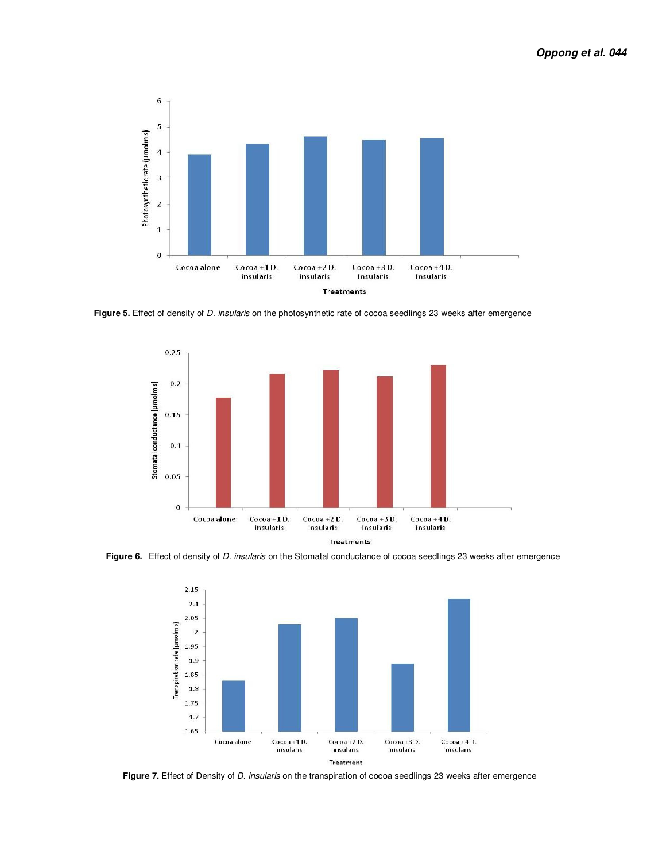

 **Figure 5.** Effect of density of D. insularis on the photosynthetic rate of cocoa seedlings 23 weeks after emergence



Figure 6. Effect of density of *D. insularis* on the Stomatal conductance of cocoa seedlings 23 weeks after emergence



Figure 7. Effect of Density of *D. insularis* on the transpiration of cocoa seedlings 23 weeks after emergence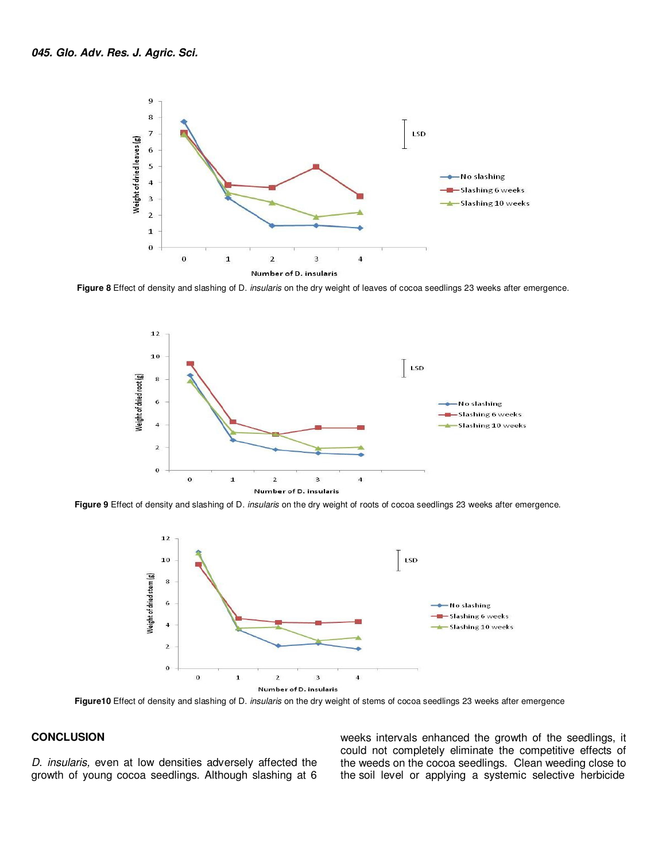

 **Figure 8** Effect of density and slashing of D. insularis on the dry weight of leaves of cocoa seedlings 23 weeks after emergence.



 **Figure 9** Effect of density and slashing of D. insularis on the dry weight of roots of cocoa seedlings 23 weeks after emergence.



 **Figure10** Effect of density and slashing of D. insularis on the dry weight of stems of cocoa seedlings 23 weeks after emergence

### **CONCLUSION**

D. insularis, even at low densities adversely affected the growth of young cocoa seedlings. Although slashing at 6 weeks intervals enhanced the growth of the seedlings, it could not completely eliminate the competitive effects of the weeds on the cocoa seedlings. Clean weeding close to the soil level or applying a systemic selective herbicide